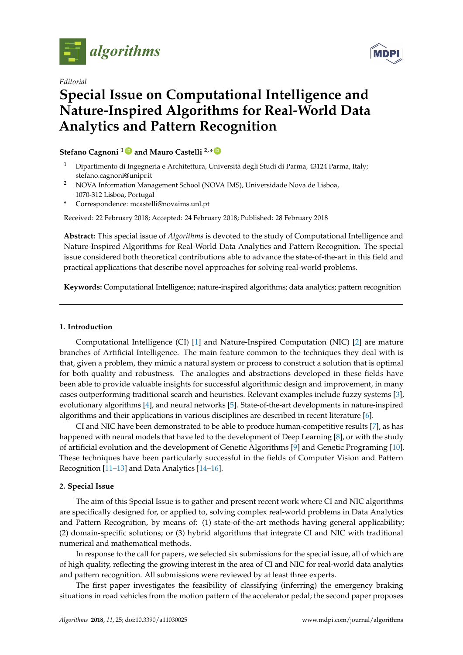

*Editorial*



# **Special Issue on Computational Intelligence and Nature-Inspired Algorithms for Real-World Data Analytics and Pattern Recognition**

## **Stefano Cagnoni <sup>1</sup> [ID](https://orcid.org/0000-0003-4669-512X) and Mauro Castelli 2,\* [ID](https://orcid.org/0000-0002-8793-1451)**

- <sup>1</sup> Dipartimento di Ingegneria e Architettura, Università degli Studi di Parma, 43124 Parma, Italy; stefano.cagnoni@unipr.it
- <sup>2</sup> NOVA Information Management School (NOVA IMS), Universidade Nova de Lisboa, 1070-312 Lisboa, Portugal
- **\*** Correspondence: mcastelli@novaims.unl.pt

Received: 22 February 2018; Accepted: 24 February 2018; Published: 28 February 2018

**Abstract:** This special issue of *Algorithms* is devoted to the study of Computational Intelligence and Nature-Inspired Algorithms for Real-World Data Analytics and Pattern Recognition. The special issue considered both theoretical contributions able to advance the state-of-the-art in this field and practical applications that describe novel approaches for solving real-world problems.

**Keywords:** Computational Intelligence; nature-inspired algorithms; data analytics; pattern recognition

### **1. Introduction**

Computational Intelligence (CI) [\[1\]](#page-1-0) and Nature-Inspired Computation (NIC) [\[2\]](#page-1-1) are mature branches of Artificial Intelligence. The main feature common to the techniques they deal with is that, given a problem, they mimic a natural system or process to construct a solution that is optimal for both quality and robustness. The analogies and abstractions developed in these fields have been able to provide valuable insights for successful algorithmic design and improvement, in many cases outperforming traditional search and heuristics. Relevant examples include fuzzy systems [\[3\]](#page-1-2), evolutionary algorithms [\[4\]](#page-1-3), and neural networks [\[5\]](#page-1-4). State-of-the-art developments in nature-inspired algorithms and their applications in various disciplines are described in recent literature [\[6\]](#page-1-5).

CI and NIC have been demonstrated to be able to produce human-competitive results [\[7\]](#page-1-6), as has happened with neural models that have led to the development of Deep Learning [\[8\]](#page-1-7), or with the study of artificial evolution and the development of Genetic Algorithms [\[9\]](#page-1-8) and Genetic Programing [\[10\]](#page-1-9). These techniques have been particularly successful in the fields of Computer Vision and Pattern Recognition [\[11](#page-1-10)[–13\]](#page-1-11) and Data Analytics [\[14](#page-1-12)[–16\]](#page-1-13).

### **2. Special Issue**

The aim of this Special Issue is to gather and present recent work where CI and NIC algorithms are specifically designed for, or applied to, solving complex real-world problems in Data Analytics and Pattern Recognition, by means of: (1) state-of-the-art methods having general applicability; (2) domain-specific solutions; or (3) hybrid algorithms that integrate CI and NIC with traditional numerical and mathematical methods.

In response to the call for papers, we selected six submissions for the special issue, all of which are of high quality, reflecting the growing interest in the area of CI and NIC for real-world data analytics and pattern recognition. All submissions were reviewed by at least three experts.

The first paper investigates the feasibility of classifying (inferring) the emergency braking situations in road vehicles from the motion pattern of the accelerator pedal; the second paper proposes